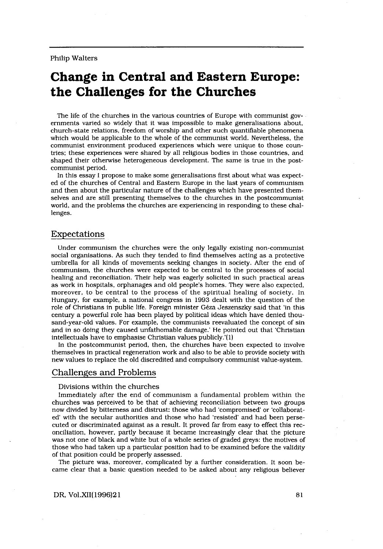# Change in Central and Eastern Europe: the Challenges for the Churches

The life of the churches in the various countries of Europe with communist governments varied so widely that it was impossible to make generalisations about, church-state relations, freedom of worship and other such quantifiable phenomena which would be applicable to the whole of the communist world . Nevertheless, the communist environment produced experiences which were unique to those countries; these experiences were shared by all religious bodies in those countries, and shaped their otherwise heterogeneous development. The same is true in the postcommunist period.

In this essay I propose to make some generalisations first about what was expected of the churches of Central and Eastern Europe in the last years of communism and then about the particular nature of the challenges which have presented themselves and are still presenting themselves to the churches in the postcommunist world, and the problems the churches are experiencing in responding to these challenges.

## Expectations

Under communism the churches were the only legally existing non-communist social organisations . As such they tended to find themselves acting as a protective umbrella for all kinds of movements seeking changes in society . After the end of communism, the churches were expected to be central to the processes of social healing and reconciliation. Their help was eagerly solicited in such practical areas as work in hospitals, orphanages and old people's homes . They were also expected, moreover, to be central to the process of the spiritual healing of society. In Hungary, for example, a national congress in 1993 dealt with the question of the role of Christians in public life. Foreign minister Geza Jeszenszky said that 'in this century a powerful role has been played by political ideas which have denied thousand-year-old values. For example, the communists reevaluated the concept of sin and in so doing they caused unfathomable damage.' He pointed out that 'Christian intellectuals have to emphasise Christian values publicly .'(1)

In the postcommunist period, then, the churches have been expected to involve themselves in practical regeneration work and also to be able to provide society with new values to replace the old discredited and compulsory communist value-system .

## Challenges and Problems

#### Divisions within the churches

Immediately after the end of communism a fundamental problem within the churches was perceived to be that of achieving reconciliation between two groups now divided by bitterness and distrust: those who had 'compromised' or 'collaborated' with the secular authorities and those who had 'resisted' and had been persecuted or discriminated against as a result . It proved far from easy to effect this reconciliation, however, partly because it became increasingly clear that the picture was not one of black and white but of a whole series of graded greys : the motives of those who had taken up a particular position had to be examined before the validity of that position could be properly assessed .

The picture was, moreover, complicated by a further consideration. It soon became clear that a basic question needed to be asked about any religious believer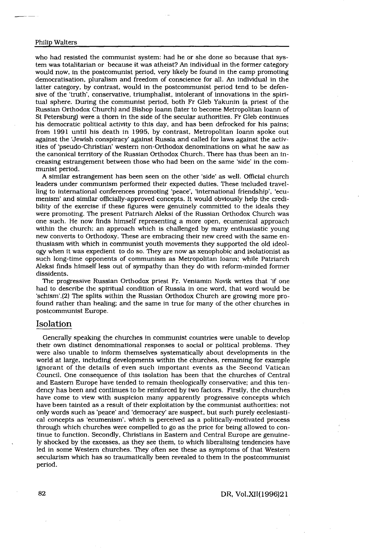who had resisted the communist system : had he or she done so because that sys-Walters<br>
ad resisted the communist system:<br>
as totalitarian or because it was atl<br>
now, in the postcomunist period, v<br>
category, by contrast, would in the<br>
category, by contrast, would in the<br>
trium in the transition tem was totalitarian or because it was atheist? An individual in the former category would now, in the postcomunist period, very likely be found in the camp promoting democratisation, pluralism and freedom of conscience for all . An individual in the latter category, by contrast, would in the postcommunist period tend to be defensive of the 'truth', conservative, triumphalist, intolerant of innovations in the spiritual sphere . During the communist period, both Fr Gleb Yakunin (a priest of the Russian Orthodox Church) and Bishop Ioann (later to become Metropolitan Ioann of St Petersburg) were a thorn in the side of the secular authorities . Fr Gleb continues his democratic political activity to this day, and has been defrocked for his pains; from 1991 until his death in 1995, by contrast, Metropolitan Ioann spoke out against the 'Jewish conspiracy' against Russia and called for laws against the activities of 'pseudo-Christian western non-Orthodox denominations on what he saw as the canonical territory of the Russian Orthodox Church . There has thus been an increasing estrangement between those who had been on the same 'side' in the communist period.

A similar estrangement has been seen on the other 'side' as well . Official church leaders under communism performed their expected duties . These included travelling to international conferences promoting 'peace', 'international friendship', 'ecumenism' and similar officially-approved concepts . It would obviously help the credibility of the exercise if these figures were genuinely committed to the ideals they were promoting. The present Patriarch Aleksi of the Russian Orthodox Church was one such. He now finds himself representing a more open, ecumenical approach within the church; an approach which is challenged by many enthusiastic young new converts to Orthodoxy . These are embracing their new creed with the same enthusiasm with which in communist youth movements they supported the old ideology when it was expedient to do so . They are now as xenophobic and isolationist as such long-time opponents of communism as Metropolitan Ioann; while Patriarch Aleksi finds himself less out of sympathy than they do with reform-minded former dissidents .

The progressive Russian Orthodox priest Fr. Veniamin Novik writes that 'if one had to describe the spiritual condition of Russia in one word, that word would be 'schism' .(2) The splits within the Russian Orthodox Church are growing more profound rather than healing; and the same in true for many of the other churches in postcommunist Europe .

## Isolation

Generally speaking the churches in communist countries were unable to develop their own distinct denominational responses to social or political problems. They were also unable to inform themselves systematically about developments in the world at large, including developments within the churches, remaining for example ignorant of the details of even such important events as the Second Vatican Council . One consequence of this isolation has been that the churches of Central and Eastern Europe have tended to remain theologically conservative; and this tendency has been and continues to be reinforced by two factors . Firstly, the churches have come to view with suspicion many apparently progressive concepts which have been tainted as a result of their exploitation by the communist authorities : not only words such as 'peace' and 'democracy' are suspect, but such purely ecclesiastical concepts as 'ecumenism', which is perceived as a politically-motivated process through which churches were compelled to go as the price for being allowed to continue to function . Secondly, Christians in Eastern and Central Europe are genuinely shocked by the excesses, as they see them, to which liberalising tendencies have led in some Western churches. They often see these as symptoms of that Western secularism which has so traumatically been revealed to them in the postcommunist period.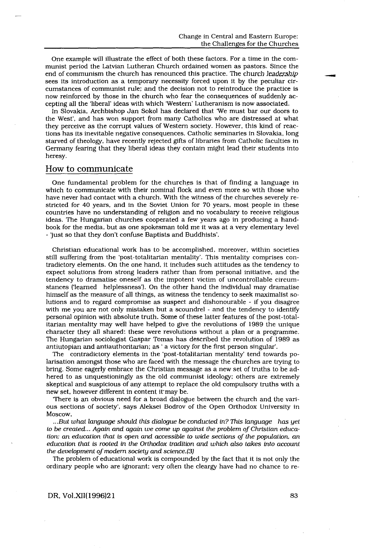One example will illustrate the effect of both these factors . For a time in the communist period the Latvian Lutheran Church ordained women as pastors . Since the end of communism the church has renounced this practice. The church leadership sees its introduction as a temporary necessity forced upon it by the peculiar circumstances of communist rule; and the decision not to reintroduce the practice is now reinforced by those in the church who fear the consequences of suddenly accepting all the 'liberal' ideas with which 'Western' Lutheranism is now associated .

In Slovakia, Archbishop Jan Sokol has declared that 'We must bar our doors to the West', and has won support from many Catholics who are distressed at what they perceive as the corrupt values of Western society . However, this kind of reactions has its inevitable negative consequences . Catholic seminaries in Slovakia, long starved of theology, have recently rejected gifts of libraries from Catholic faculties in Germany fearing that they liberal ideas they contain might lead their students into heresy.

# How to communicate

 

One fundamental problem for the churches is that of finding a language in which to communicate with their nominal flock and even more so with those who have never had contact with a church . With the witness of the churches severely restricted for 40 years, and in the Soviet Union for 70 years, most people in these countries have no understanding of religion and no vocabulary to receive religious ideas . The Hungarian churches cooperated a few years ago in producing a handbook for the media, but as one spokesman told me it was at a very elementary level - just so that they don't confuse Baptists and Buddhists' .

Christian educational work has to be accomplished, moreover, within societies still suffering from the 'post-totalitarian mentality' . This mentality comprises contradictory elements . On the one hand, it includes such attitudes as the tendency to expect solutions from strong leaders rather than from personal initiative, and the tendency to dramatise oneself as the impotent victim of uncontrollable circumstances ('learned helplessness') . On the other hand the individual may dramatise himself as the measure of all things, as witness the tendency to seek maximalist solutions and to regard compromise as suspect and dishonourable - if you disagree with me you are not only mistaken but a scoundrel - and the tendency to identify personal opinion with absolute truth . Some of these latter features of the post-totalitarian mentality may well have helped to give the revolutions of 1989 the unique character they all shared: these were revolutions without a plan or a programme. The Hungarian sociologist Gaspar Tomas has described the revolution of 1989 as antiutopian and antiauthoritarian; as ' a victory for the first person singular'.

The contradictory elements in the 'post-totalitarian mentality' tend towards polarisation amongst those who are faced with the message the churches are trying to bring . Some eagerly embrace the Christian message as a new set of truths to be adhered to as unquestioningly as the old communist ideology; others are extremely skeptical and suspicious of any attempt to replace the old compulsory truths with a new set, however different in content it' may be .

`There is an obvious need for a broad dialogue between the church and the various sections of society', says Aleksei Bodrov of the Open Orthodox University in Moscow,

. . .But what language should this dialogue be conducted in? This language has yet to be created... Again and again we come up against the problem of Christian education: an education that is open and accessible to wide sections of the population, an education that is rooted in the Orthodox tradition and which also takes into account the development of modern society and science.(3)

The problem of educational work is compounded by the fact that it is not only the ordinary people who are ignorant; very often the cleargy have had no chance to re-

#### DR, Vol.XII(1996)21

83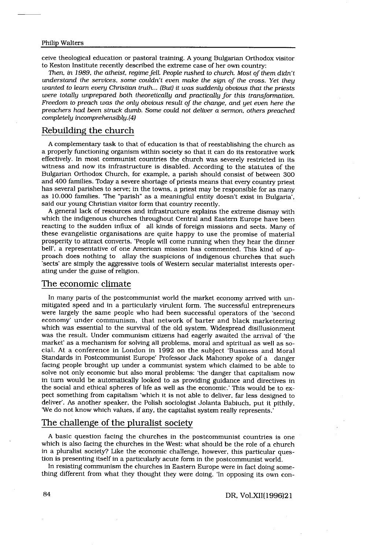ceive theological education or pastoral training . A young Bulgarian Orthodox visitor to Keston Institute recently described the extreme case of her own country:

Then, in 1989, the atheist, regime fell. People rushed to church. Most of them  $d/dn't$ understand the services, some couldn't even make the sign of the cross . Yet they wanted to learn every Christian truth... (But) it was suddenly obvious that the priests were totally unprepared both theoretically and practically for this transformation. Freedom to preach was the only obvious result of the change, and yet even here the preachers had been struck dumb. Some could not deliver a sermon, others preached completely incomprehensibly. (4)

# Rebuilding the church

A complementary task to that of education is that of reestablishing the church as a properly functioning organism within society so that it can do its restorative work effectively . In most communist countries the church was severely restricted in its witness and now its infrastructure is disabled. According to the statutes of the Bulgarian Orthodox Church, for example, a parish should consist of between 300 and 400 families. Today a severe shortage of priests means that every country priest has several parishes to serve; in the towns, a priest may be responsible for as many as 10 .000 families. The "parish" as a meaningful entity doesn't exist in Bulgaria', said our young Christian visitor form that country recently.

A general lack of resources and infrastructure explains the extreme dismay with which the indigenous churches throughout Central and Eastern Europe have been reacting to the sudden influx of all kinds of foreign missions and sects . Many of these evangelistic organisations are quite happy to use the promise of material prosperity to attract converts . 'People will come running when they hear the dinner bell', a representative of one American mission has commented. This kind of approach does nothing to allay the suspicions of indigenous churches that such 'sects' are simply the aggressive tools of Western secular materialist interests operating under the guise of religion.

## The economic climate

In many parts of the postcommunist world the market economy arrived with unmitigated speed and in a particularly virulent form . The successful entrepreneurs were largely the same people who had been successful operators of the 'second economy' under communism, that network of barter and black marketeering which was essential to the survival of the old system. Widespread disillusionment was the result. Under communism citizens had eagerly awaited the arrival of 'the market' as a mechanism for solving all problems, moral and spiritual as well as social . At a conference in London in 1992 on the subject 'Business and Moral Standards in Postcommunist Europe' Professor Jack Mahoney spoke of a danger facing people brought up under a communist system which claimed to be able to solve not only economic but also moral problems: 'the danger that capitalism now in turn would be automatically looked to as providing guidance and directives in the social and ethical spheres of life as well as the economic .' This would be to expect something from capitalism 'which it is not able to deliver, far less designed to deliver' . As another speaker, the Polish sociologist Jolanta Babiuch, put it pithily, We do not know which values, if any, the capitalist system really represents .'

# The challenge of the pluralist society

A basic question facing the churches in the postcommunist countries is one which is also facing the churches in the West: what should be the role of a church in a pluralist society? Like the economic challenge, however, this particular question is presenting itself in a particularly acute form in the postcommunist world.

In resisting communism the churches in Eastern Europe were in fact doing something different from what they thought they were doing . 'In opposing its own con-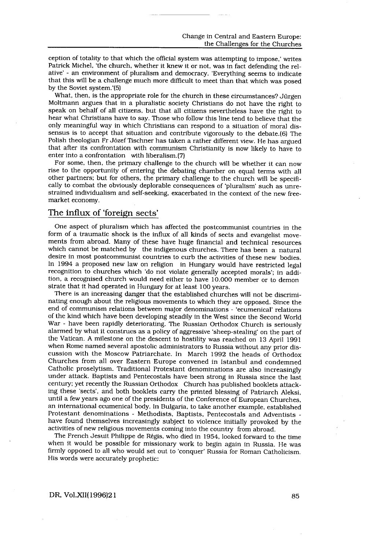ception of totality to that which the official system was attempting to impose,' writes Patrick Michel, 'the church, whether it knew it or not, was in fact defending the relative' - an environment of pluralism and democracy . 'Everything seems to indicate that this will be a challenge much more difficult to meet than that which was posed by the Soviet system .'(5)

What, then, is the appropriate role for the church in these circumstances? Jürgen Moltmann argues that in a pluralistic society Christians do not have the right to speak on behalf of all citizens, but that all citizens nevertheless have the right to hear what Christians have to say. Those who follow this line tend to believe that the only meaningful way in which Christians can respond to a situation of moral dissensus is to accept that situation and contribute vigorously to the debate .(6) The Polish theologian Fr Józef Tischner has taken a rather different view . He has argued that after its confrontation with communism Christianity is now likely to have to enter into a confrontation with liberalism. (7)

For some, then, the primary challenge to the church will be whether it can now rise to the opportunity of entering the debating chamber on equal terms with all other partners; but for others, the primary challenge to the church will be specifically to combat the obviously deplorable consequences of 'pluralism' such as unrestrained individualism and self-seeking, exacerbated in the context of the new freemarket economy.

# The influx of 'foreign sects'

 

One aspect of pluralism which has affected the postcommunist countries in the form of a traumatic shock is the influx of all kinds of sects and evangelist movements from abroad. Many of these have huge financial and technical resources which cannot be matched by the indigenous churches. There has been a natural desire in most postcommunist countries to curb the activities of these new bodies . In 1994 a proposed new law on religion in Hungary would have restricted legal recognition to churches which 'do not violate generally accepted morals'; in addition, a recognised church would need either to have 10 .000 member or to demon strate that it had operated in Hungary for at least 100 years .

There is an increasing danger that the established churches will not be discriminating enough about the religious movements to which they are opposed . Since the end of communism relations between major denominations - 'ecumenical' relations of the kind which have been developing steadily in the West since the Second World War - have been rapidly deteriorating. The Russian Orthodox Church is seriously alarmed by what it construes as a policy of aggressive 'sheep-stealing' on the part of the Vatican . A milestone on the descent to hostility was reached on 13 April 1991 when Rome named several apostolic administrators to Russia without any prior discussion with the Moscow Patriarchate . In March 1992 the heads of Orthodox Churches from all over Eastern Europe convened in Istanbul and condemned Catholic proselytism. Traditional Protestant denominations are also increasingly under attack . Baptists and Pentecostals have been strong in Russia since the last century; yet recently the Russian Orthodox Church has published booklets attacking these 'sects', and both booklets carry the printed blessing of Patriarch Aleksi, until a few years ago one of the presidents of the Conference of European Churches, an international ecumenical body . In Bulgaria, to take another example, established Protestant denominations - Methodists, Baptists, Pentecostals and Adventists have found themselves increasingly subject to violence initially provoked by the activities of new religious movements coming into the country from abroad .

The French Jesuit Philippe de Regis, who died in 1954, looked forward to the time when it would be possible for missionary work to begin again in Russia . He was firmly opposed to all who would set out to 'conquer' Russia for Roman Catholicism . His words were accurately prophetic:

#### DR, Vol.XII(1996)21

85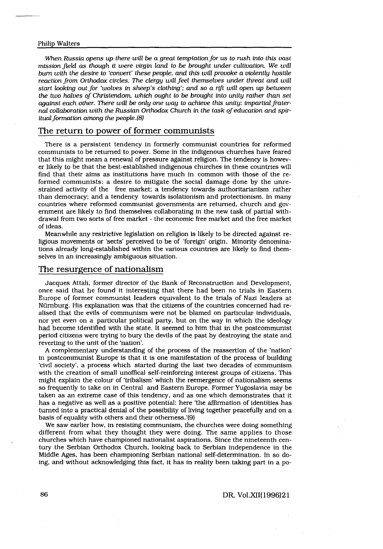$\begin{tabular}{c} \multicolumn{2}{c} {\textbf{1}}\\ \multicolumn{2}{c} {\textbf{1}}\\ \multicolumn{2}{c} {\textbf{1}}\\ \multicolumn{2}{c} {\textbf{1}}\\ \multicolumn{2}{c} {\textbf{1}}\\ \multicolumn{2}{c} {\textbf{1}}\\ \multicolumn{2}{c} {\textbf{1}}\\ \multicolumn{2}{c} {\textbf{1}}\\ \multicolumn{2}{c} {\textbf{1}}\\ \multicolumn{2}{c} {\textbf{1}}\\ \multicolumn{2}{c} {\textbf{1}}\\ \multicolumn{2}{c} {\textbf{1}}\\ \multicolumn{2}{c} {\textbf{1}}\\ \multicolumn$ 

When Russia opens up there will be a great temptation for us to rush into this vast mission field as though it were virgin land to be brought under cultivation . We will bum with the desire to 'convert' these people, and this will provoke a violently hostile reaction from Orthodox circles. The clergy will feel themselves under threat and will start looking out for 'wolves in sheep's clothing'; and so a rift will open up between the two halves of Christendom, which ought to be brought into unity rather than set against each other. There will be only one way to achieve this unity: impartial fraternal collaboration with the Russian Orthodox Church in the task of education and spiritual formation among the people  $(8)$ 

# The return to power of former communists

There is a persistent tendency in formerly communist countries for reformed communists to be returned to power . Some in the indigenous churches have feared that this might mean a renewal of pressure against religion . The tendency is however likely to be that the best-established indigenous churches in these countries will find that their aims as institutions have much in common with those of the reformed communists: a desire to mitigate the social damage done by the unrestrained activity of the free market; a tendency towards authoritarianism rather than democracy; and a tendency towards isolationism and protectionism . In many countries where reformed communist governments are returned, church and government are likely to find themselves collaborating in the new task of partial withdrawal from two sorts of free market - the economic free market and the free market of ideas .

Meanwhile any restrictive legislation on religion is likely to be directed against religious movements or 'sects' perceived to be of 'foreign' origin . Minority denominations already long-established within the various countries are likely to find themselves in an increasingly ambiguous situation.

## The resurgence of nationalism

Jacques Attali, former director of the Bank of Reconstruction and Development, once said that he found it interesting that there had been no trials in Eastern Europe of former communist leaders equivalent to the trials of Nazi leaders at Nürnburg. His explanation was that the citizens of the countries concerned had realised that the evils of communism were not be blamed on particular individuals, nor yet even on a particular political party, but on the way in which the ideology had become identified with the state . It seemed to him that in the postcommunist period citizens were trying to bury the devils of the past by destroying the state and reverting to the unit of the 'nation'.

A complementary understanding of the process of the reassertion of the 'nation' in postcommunist Europe is that it is one manifestation of the process of building 'civil society', a process which started during the last two decades of communism with the creation of small unoffical self-reinforcing interest groups of citizens . This might explain the colour of 'tribalism' which the reemergence of nationalism seems so frequently to take on in Central and Eastern Europe . Former Yugoslavia may be taken as an extreme case of this tendency, and as one which demonstrates that it has a negative as well as a positive potential: here 'the affirmation of identities has turned into a practical denial of the possibility of living together peacefully and on a basis of equality with others and their otherness .'(9)

We saw earlier how, in resisting communism, the churches were doing something different from what they thought they were doing. The same applies to those churches which have championed nationalist aspirations . Since the nineteenth century the Serbian Orthodox Church, looking back to Serbian independence in the Middle Ages, has been championing Serbian national self-determination . In so doing, and without acknowledging this fact, it has in reality been taking part in a po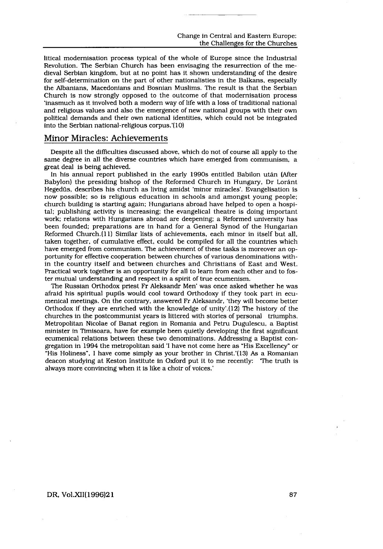litical modernisation process typical of the whole of Europe since the Industrial Revolution . The Serbian Church has been envisaging the resurrection of the medieval Serbian kingdom, but at no point has it shown understanding of the desire for self-determination on the part of other nationalisties in the Balkans, especially the Albanians, Macedonians and Bosnian Muslims . The result is that the Serbian Church is now strongly opposed to the outcome of that modernisation process `inasmuch as it involved both a modern way of life with a loss of traditional national and religious values and also the emergence of new national groups with their own political demands and their own national identities, which could not be integrated into the Serbian national-religious corpus .'(10)

## Minor Miracles: Achievements

 

Despite all the difficulties discussed above, which do not of course all apply to the same degree in all the diverse countries which have emerged from communism, a great deal is being achieved.

In his annual report published in the early 1990s entitled Babilon utan (After Babylon) the presiding bishop of the Reformed Church in Hungary, Dr Loránt Hegedüs, describes his church as living amidst 'minor miracles' . Evangelisation is now possible; so is religious education in schools and amongst young people; church building is starting again; Hungarians abroad have helped to open a hospital; publishing activity is increasing; the evangelical theatre is doing important work; relations with Hungarians abroad are deepening; a Reformed university has been founded; preparations are in hand for a General Synod of the Hungarian Reformed Church .(1 1) Similar lists of achievements, each minor in itself but all, taken together, of cumulative effect, could be compiled for all the countries which have emerged from communism. The achievement of these tasks is moreover an opportunity for effective cooperation between churches of various denominations within the country itself and between churches and Christians of East and West. Practical work together is an opportunity for all to learn from each other and to foster mutual understanding and respect in a spirit of true ecumenism .

The Russian Orthodox priest Fr Aleksandr Men' was once asked whether he was afraid his spiritual pupils would cool toward Orthodoxy if they took part in ecumenical meetings . On the contrary, answered Fr Aleksandr, 'they will become better Orthodox if they are enriched with the knowledge of unity' .(12) The history of the churches in the postcommunist years is littered with stories of personal triumphs . Metropolitan Nicolae of Banat region in Romania and Petru Dugulescu, a Baptist minister in Timisoara, have for example been quietly developing the first significant ecumenical relations between these two denominations . Addressing a Baptist congregation in 1994 the metropolitan said 'I have not come here as "His Excellency" or "His Holiness", I have come simply as your brother in Christ .'(13) As a Romanian deacon studying at Keston Institute in Oxford put it to me recently: The truth is always more convincing when it is like a choir of voices .'